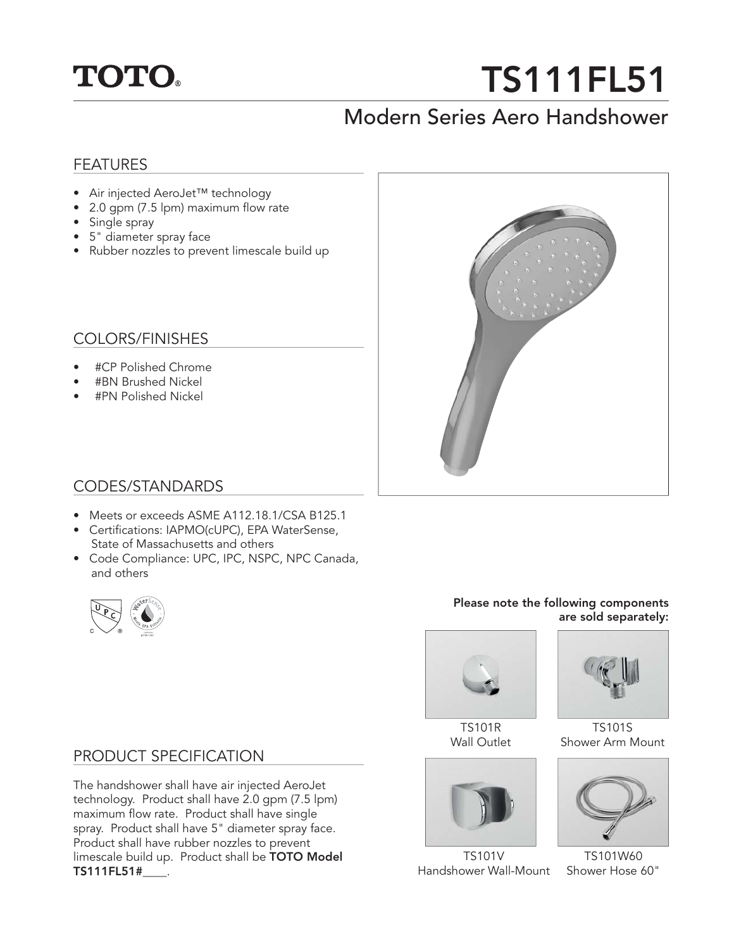

# **TS111FL51**

# Modern Series Aero Handshower

# FEATURES

- Air injected AeroJet™ technology
- 2.0 gpm (7.5 lpm) maximum flow rate
- Single spray
- 5" diameter spray face
- Rubber nozzles to prevent limescale build up

# COLORS/FINISHES

- #CP Polished Chrome
- #BN Brushed Nickel
- #PN Polished Nickel



# CODES/STANDARDS

- Meets or exceeds ASME A112.18.1/CSA B125.1
- Certifications: IAPMO(cUPC), EPA WaterSense,
- State of Massachusetts and others • Code Compliance: UPC, IPC, NSPC, NPC Canada,
	-

and others

#### **Please note the following components are sold separately:**



TS101R Wall Outlet



TS101V Handshower Wall-Mount



TS101S Shower Arm Mount



TS101W60 Shower Hose 60"

# PRODUCT SPECIFICATION

The handshower shall have air injected AeroJet technology. Product shall have 2.0 gpm (7.5 lpm) maximum flow rate. Product shall have single spray. Product shall have 5" diameter spray face. Product shall have rubber nozzles to prevent limescale build up. Product shall be **TOTO Model TS111FL51#\_\_\_\_**.